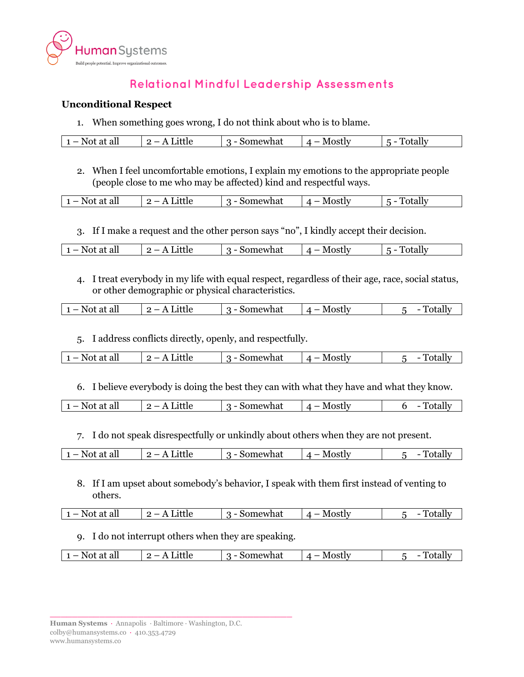

## **Relational Mindful Leadership Assessments**

## **Unconditional Respect**

1. When something goes wrong, I do not think about who is to blame.

|  | - -<br>. .<br>at all<br><b>N</b> 1<br>_<br>-<br>— | <br>--- | iewhat<br>``<br>_ | $\sim$ $\sim$ $+$ 1 $\sim$ $\sim$<br>$\cdots$<br>___ | --<br>-<br>_ |
|--|---------------------------------------------------|---------|-------------------|------------------------------------------------------|--------------|
|--|---------------------------------------------------|---------|-------------------|------------------------------------------------------|--------------|

2. When I feel uncomfortable emotions, I explain my emotions to the appropriate people (people close to me who may be affected) kind and respectful ways.

| at all<br>$-$ No <sup>+</sup><br>—<br>. . | 'ttle<br>--- | omewhat | $.$ $\sim$ $\sim$ $\sim$<br>JSL<br>$\overline{\phantom{a}}$ | - |
|-------------------------------------------|--------------|---------|-------------------------------------------------------------|---|
|                                           |              |         |                                                             |   |

3. If I make a request and the other person says "no", I kindly accept their decision.

|  | $N \sim$<br>all<br>at<br>$\overline{\phantom{0}}$<br>I VI. | ue.<br> | mewhat<br>'NU.<br>_ | Mostiv | ำtally |
|--|------------------------------------------------------------|---------|---------------------|--------|--------|
|--|------------------------------------------------------------|---------|---------------------|--------|--------|

4. I treat everybody in my life with equal respect, regardless of their age, race, social status, or other demographic or physical characteristics.

| all<br>N<br>at<br>$\sim$<br>NU.<br>. . | _<br>.<br><br>--- | ıewhat<br>-<br>ы. | M<br>-----<br>__<br>בוסי | --<br>.<br>_ |
|----------------------------------------|-------------------|-------------------|--------------------------|--------------|
|                                        |                   |                   |                          |              |

5. I address conflicts directly, openly, and respectfully.

| N<br>$1 -$<br>all<br>л.<br>--- ---- | --- | mewhat<br>$\overline{\phantom{0}}$<br>л. | $\sim$ $\sim$ $\sim$ + I – $\sim$<br>OSU<br>_ |  |
|-------------------------------------|-----|------------------------------------------|-----------------------------------------------|--|
|                                     |     |                                          |                                               |  |

6. I believe everybody is doing the best they can with what they have and what they know.

| 7hai<br>ин<br>W<br>_<br>-<br><br>-<br>$\sim$ . $\sim$ . $\sim$<br><br>---<br>____<br>$\sim$ |
|---------------------------------------------------------------------------------------------|
|---------------------------------------------------------------------------------------------|

7. I do not speak disrespectfully or unkindly about others when they are not present.

| ıewhat<br>. ~+ I - ·<br>all<br>в.<br>$\sim$ +<br>--<br>_<br>_<br>,,,<br>. L I V<br>. .<br>---<br>--- -- |  |
|---------------------------------------------------------------------------------------------------------|--|
|---------------------------------------------------------------------------------------------------------|--|

8. If I am upset about somebody's behavior, I speak with them first instead of venting to others.

| ' all<br>N Q1<br>$\sim$ +<br>_ | - 11<br>httle<br>--- | iomewhat<br>וור<br>_ | N/L<br>Mostiv | ┯ |
|--------------------------------|----------------------|----------------------|---------------|---|
|                                |                      |                      |               |   |

9. I do not interrupt others when they are speaking.

| -<br>المحامد<br>- - -<br>าล<br>/ 10<br>__<br>N<br>at all<br>-<br><br>_<br>-<br> |
|---------------------------------------------------------------------------------|
|---------------------------------------------------------------------------------|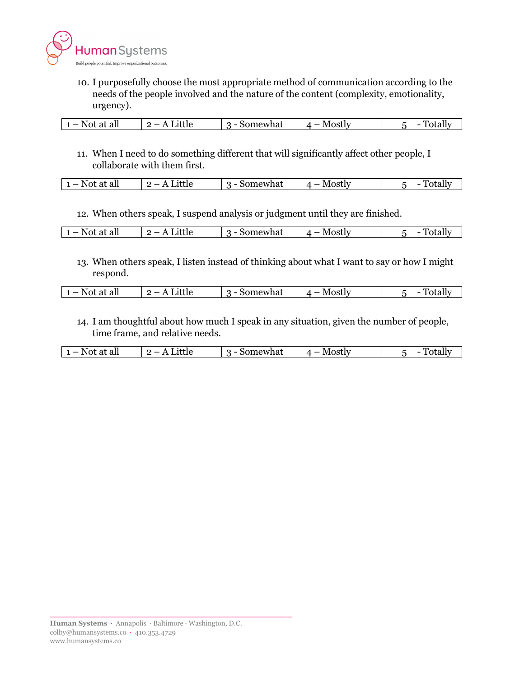

10. I purposefully choose the most appropriate method of communication according to the needs of the people involved and the nature of the content (complexity, emotionality, urgency).

| all<br>в.<br>$\sim$ +<br>. | $\cdots$<br>__ | somewhat | N/I<br>$\alpha$ octing |  |
|----------------------------|----------------|----------|------------------------|--|
| .                          |                |          |                        |  |

11. When I need to do something different that will significantly affect other people, I collaborate with them first.

| . No+<br>at all<br>- | lllt<br>. .<br>___ | mewhat<br>$\overline{\phantom{0}}$<br>יי | Mostl<br>$\sim$ $\sim$ + I $\sim$<br>$\overline{\phantom{a}}$<br>$\overline{\phantom{a}}$ | - |
|----------------------|--------------------|------------------------------------------|-------------------------------------------------------------------------------------------|---|
|                      |                    |                                          |                                                                                           |   |

12. When others speak, I suspend analysis or judgment until they are finished.

| - Not<br>all<br>at | Little<br>. . | somewhat | Mostly | . .<br>`∩t∩ll⊤<br>vuu |
|--------------------|---------------|----------|--------|-----------------------|
|--------------------|---------------|----------|--------|-----------------------|

13. When others speak, I listen instead of thinking about what I want to say or how I might respond.

| --- --<br>____ | ⊤all<br>No:<br>$\sim$ +<br>_ | ue.<br>. . | omewhat<br>-<br>,, | N/I<br>$\pi$ neti $\tau$ :<br>. | T<br>vuu |
|----------------|------------------------------|------------|--------------------|---------------------------------|----------|
|----------------|------------------------------|------------|--------------------|---------------------------------|----------|

14. I am thoughtful about how much I speak in any situation, given the number of people, time frame, and relative needs.

| at all<br>- Noti | <br>$-$<br>--- | somewhat<br>_ | M<br>20.04 |  |
|------------------|----------------|---------------|------------|--|
|                  |                |               |            |  |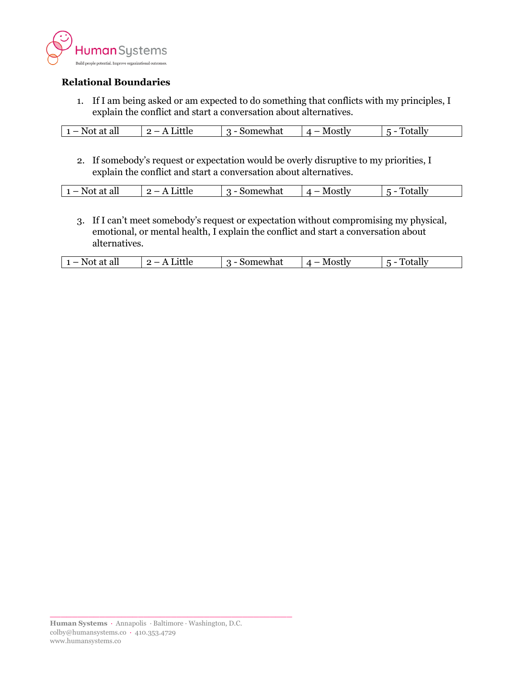

## **Relational Boundaries**

1. If I am being asked or am expected to do something that conflicts with my principles, I explain the conflict and start a conversation about alternatives.

2. If somebody's request or expectation would be overly disruptive to my priorities, I explain the conflict and start a conversation about alternatives.

|  | $-$<br>.<br>$   -$ | <br>___ | uai<br>W 1 | $\overline{\phantom{a}}$ | -- |
|--|--------------------|---------|------------|--------------------------|----|
|--|--------------------|---------|------------|--------------------------|----|

3. If I can't meet somebody's request or expectation without compromising my physical, emotional, or mental health, I explain the conflict and start a conversation about alternatives.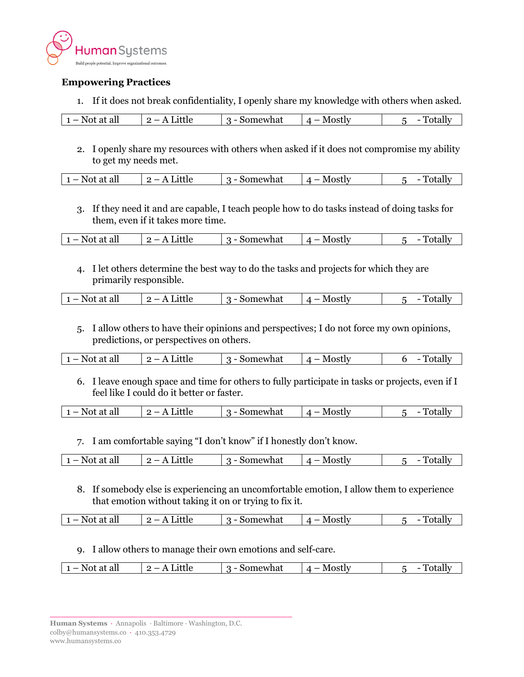

## **Empowering Practices**

1. If it does not break confidentiality, I openly share my knowledge with others when asked.

| all<br>-Not<br>at | ---<br>ouue<br>__ | omewhat<br>וור<br>_ | <b>MOSTIV</b> | זור<br>υιαμ |
|-------------------|-------------------|---------------------|---------------|-------------|
|-------------------|-------------------|---------------------|---------------|-------------|

2. I openly share my resources with others when asked if it does not compromise my ability to get my needs met.

| :what<br>at all<br>$\mathbf{r}$<br>_<br>-<br><br><br>---<br>--- |
|-----------------------------------------------------------------|
|-----------------------------------------------------------------|

3. If they need it and are capable, I teach people how to do tasks instead of doing tasks for them, even if it takes more time.

|  | at all<br>.<br>N<br>__<br>-<br>--- -- | --- | omewhat<br>_ | $\sim$<br>. | . |
|--|---------------------------------------|-----|--------------|-------------|---|
|--|---------------------------------------|-----|--------------|-------------|---|

4. I let others determine the best way to do the tasks and projects for which they are primarily responsible.

|  | N<br>all<br>_<br>--- ---- | $  -$ | 2.7.75.2<br>גוז/גיב<br>-<br><br>на | N/I<br>_ |  |
|--|---------------------------|-------|------------------------------------|----------|--|
|--|---------------------------|-------|------------------------------------|----------|--|

5. I allow others to have their opinions and perspectives; I do not force my own opinions, predictions, or perspectives on others.

| at all<br>$\overline{\phantom{0}}$<br>N | <br>--- | 102.7580<br>'Wildt<br>$  -$ | . |  |
|-----------------------------------------|---------|-----------------------------|---|--|
|                                         |         |                             |   |  |

6. I leave enough space and time for others to fully participate in tasks or projects, even if I feel like I could do it better or faster.

|  | --<br>$\sim$ $\blacksquare$<br>$-$<br>w<br>at all<br><b>.</b> | ___ | 27.75.21<br>ы<br>W<br> |  | - |
|--|---------------------------------------------------------------|-----|------------------------|--|---|
|--|---------------------------------------------------------------|-----|------------------------|--|---|

7. I am comfortable saying "I don't know" if I honestly don't know.

| all<br>- ሳተ<br>.<br>__<br>đι<br>- | httie<br><br>--- | Jomewhat<br>- | N /I<br>∩etlw<br>UƏL | . . |
|-----------------------------------|------------------|---------------|----------------------|-----|
|                                   |                  |               |                      |     |

8. If somebody else is experiencing an uncomfortable emotion, I allow them to experience that emotion without taking it on or trying to fix it.

| - Not<br>at all<br>__ | _ittle<br>-<br> | Somewhat<br>_ | Mostly<br>л<br>'UJLL |  |
|-----------------------|-----------------|---------------|----------------------|--|
|                       |                 |               |                      |  |

9. I allow others to manage their own emotions and self-care.

| all<br>NЛ<br>$\Lambda$ neti $\tau$<br>--<br>omewhat<br>N<br>$\sim$<br>$\sim$ +<br>rue<br>__<br>a<br>$\cdot$<br>-<br>,,<br>UƏLI<br>$\sim$<br>. .<br>--- --<br>___ |
|------------------------------------------------------------------------------------------------------------------------------------------------------------------|
|------------------------------------------------------------------------------------------------------------------------------------------------------------------|